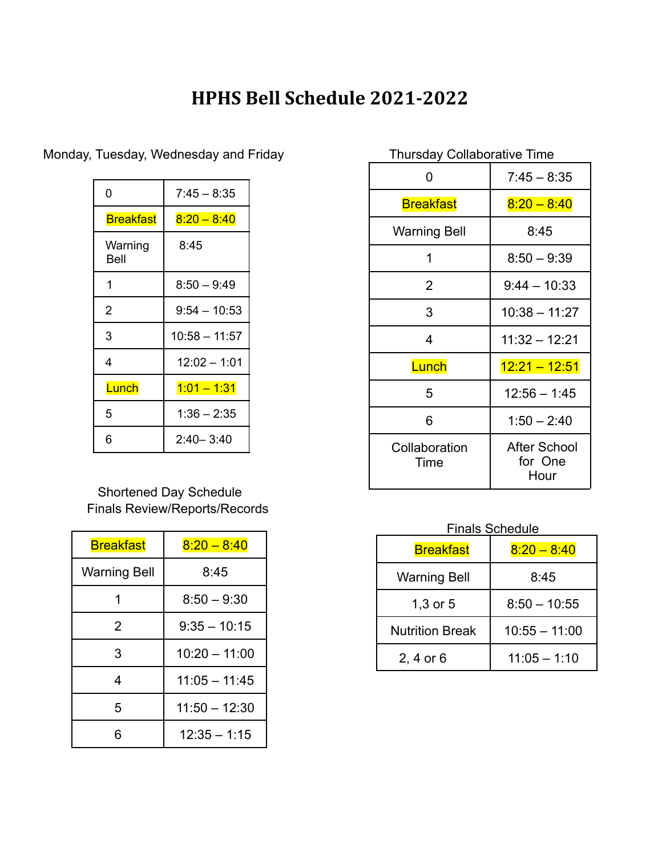## **HPHS Bell Schedule 2021-2022**

| 0                | $7:45 - 8:35$   |
|------------------|-----------------|
| <b>Breakfast</b> | $8:20 - 8:40$   |
| Warning<br>Bell  | 8:45            |
| 1                | $8:50 - 9:49$   |
| $\overline{2}$   | $9:54 - 10:53$  |
| 3                | $10:58 - 11:57$ |
| 4                | $12:02 - 1:01$  |
| Lunch            | $1:01 - 1:31$   |
| 5                | $1:36 - 2:35$   |
| 6                | $2:40 - 3:40$   |

Monday, Tuesday, Wednesday and Friday

## Shortened Day Schedule Finals Review/Reports/Records

| <b>Breakfast</b>    | $8:20 - 8:40$   |
|---------------------|-----------------|
| <b>Warning Bell</b> | 8:45            |
| 1                   | $8:50 - 9:30$   |
| 2                   | $9:35 - 10:15$  |
| 3                   | $10:20 - 11:00$ |
| 4                   | $11:05 - 11:45$ |
| 5                   | $11:50 - 12:30$ |
| ิค                  | $12:35 - 1:15$  |

| <b>Thursday Collaborative Time</b> |                                        |  |
|------------------------------------|----------------------------------------|--|
| 0                                  | $7:45 - 8:35$                          |  |
| <b>Breakfast</b>                   | $8:20 - 8:40$                          |  |
| <b>Warning Bell</b>                | 8:45                                   |  |
| 1                                  | $8:50 - 9:39$                          |  |
| 2                                  | $9:44 - 10:33$                         |  |
| 3                                  | 10:38 - 11:27                          |  |
| 4                                  | 11:32 - 12:21                          |  |
| Lunch                              | $12.21 - 12.51$                        |  |
| 5                                  | $12:56 - 1:45$                         |  |
| 6                                  | $1:50 - 2:40$                          |  |
| Collaboration<br>Time              | <b>After School</b><br>for One<br>Hour |  |

## Finals Schedule

| <b>Breakfast</b>       | $8.20 - 8.40$   |
|------------------------|-----------------|
| <b>Warning Bell</b>    | 8:45            |
| $1,3$ or $5$           | $8:50 - 10:55$  |
| <b>Nutrition Break</b> | $10:55 - 11:00$ |
| 2, 4 or $6$            | $11:05 - 1:10$  |